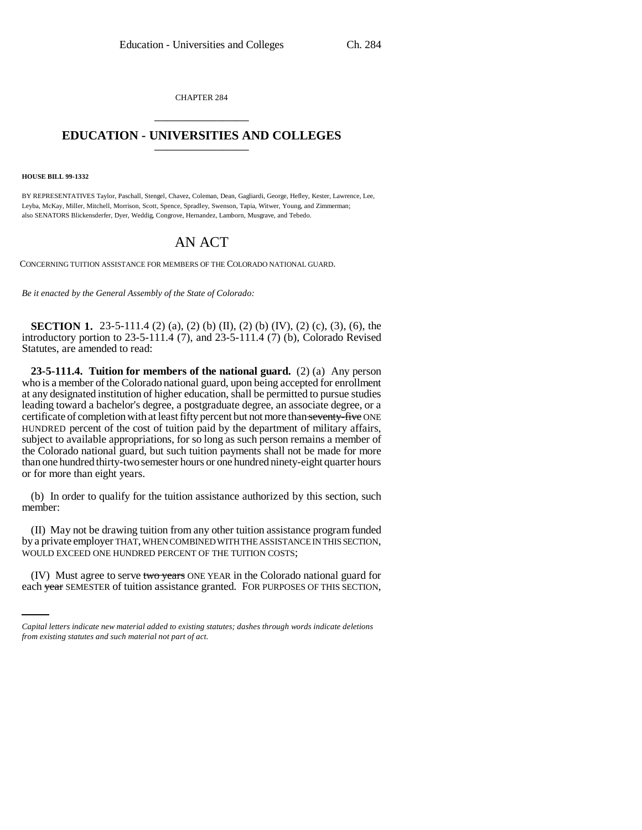CHAPTER 284 \_\_\_\_\_\_\_\_\_\_\_\_\_\_\_

## **EDUCATION - UNIVERSITIES AND COLLEGES** \_\_\_\_\_\_\_\_\_\_\_\_\_\_\_

**HOUSE BILL 99-1332**

BY REPRESENTATIVES Taylor, Paschall, Stengel, Chavez, Coleman, Dean, Gagliardi, George, Hefley, Kester, Lawrence, Lee, Leyba, McKay, Miller, Mitchell, Morrison, Scott, Spence, Spradley, Swenson, Tapia, Witwer, Young, and Zimmerman; also SENATORS Blickensderfer, Dyer, Weddig, Congrove, Hernandez, Lamborn, Musgrave, and Tebedo.

## AN ACT

CONCERNING TUITION ASSISTANCE FOR MEMBERS OF THE COLORADO NATIONAL GUARD.

*Be it enacted by the General Assembly of the State of Colorado:*

**SECTION 1.** 23-5-111.4 (2) (a), (2) (b) (II), (2) (b) (IV), (2) (c), (3), (6), the introductory portion to 23-5-111.4 (7), and 23-5-111.4 (7) (b), Colorado Revised Statutes, are amended to read:

**23-5-111.4. Tuition for members of the national guard.** (2) (a) Any person who is a member of the Colorado national guard, upon being accepted for enrollment at any designated institution of higher education, shall be permitted to pursue studies leading toward a bachelor's degree, a postgraduate degree, an associate degree, or a certificate of completion with at least fifty percent but not more than seventy-five ONE HUNDRED percent of the cost of tuition paid by the department of military affairs, subject to available appropriations, for so long as such person remains a member of the Colorado national guard, but such tuition payments shall not be made for more than one hundred thirty-two semester hours or one hundred ninety-eight quarter hours or for more than eight years.

(b) In order to qualify for the tuition assistance authorized by this section, such member:

WOULD EXCEED ONE HUNDRED PERCENT OF THE TUITION COSTS; (II) May not be drawing tuition from any other tuition assistance program funded by a private employer THAT, WHEN COMBINED WITH THE ASSISTANCE IN THIS SECTION,

(IV) Must agree to serve two years ONE YEAR in the Colorado national guard for each year SEMESTER of tuition assistance granted. FOR PURPOSES OF THIS SECTION,

*Capital letters indicate new material added to existing statutes; dashes through words indicate deletions from existing statutes and such material not part of act.*